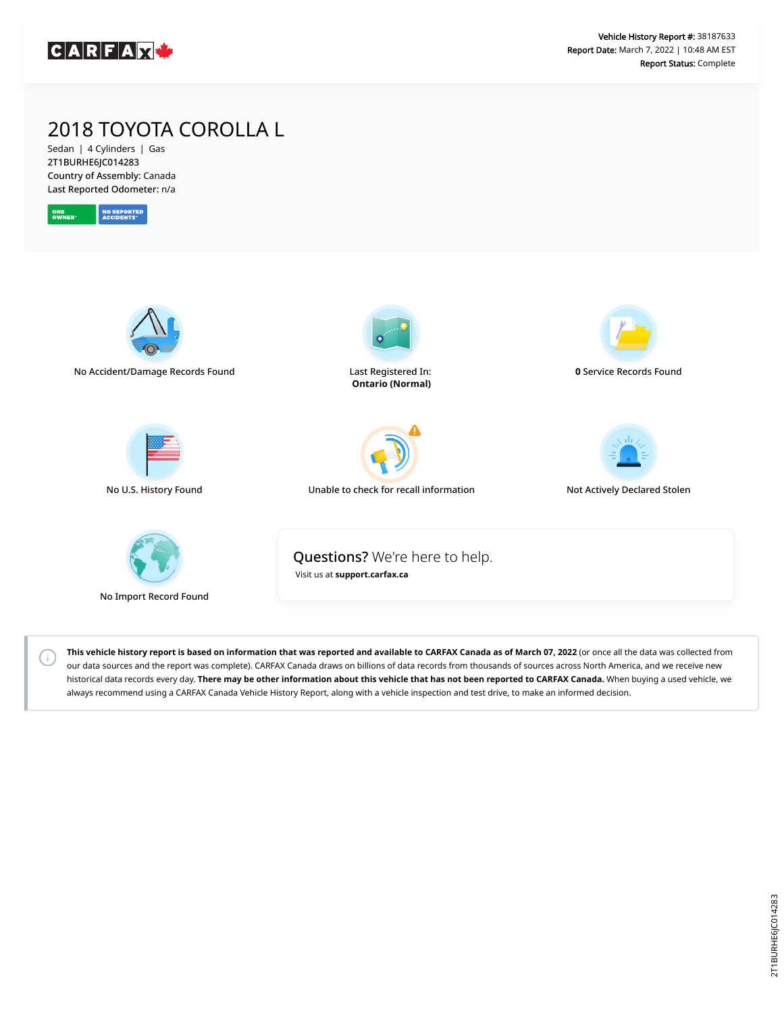

## 2018 TOYOTA COROLLA L

Sedan | 4 Cylinders | Gas 2T1BURHE6JC014283 Country of Assembly: Canada Last Reported Odometer: n/a



 $(i)$ 



**This vehicle history report is based on information that was reported and available to CARFAX Canada as of March 07, 2022** (or once all the data was collected from our data sources and the report was complete). CARFAX Canada draws on billions of data records from thousands of sources across North America, and we receive new historical data records every day. **There may be other information about this vehicle that has not been reported to CARFAX Canada.** When buying a used vehicle, we always recommend using a CARFAX Canada Vehicle History Report, along with a vehicle inspection and test drive, to make an informed decision.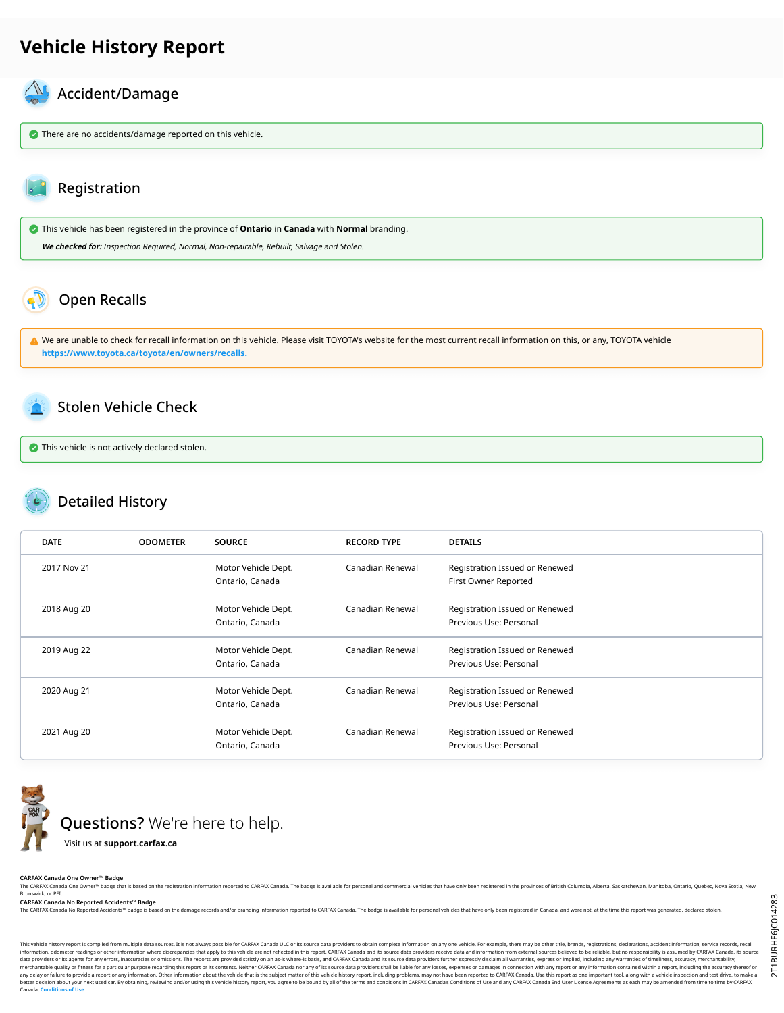#### **Vehicle History Report**

# Accident/Damage

**There are no accidents/damage reported on this vehicle.** 

#### Registration

 This vehicle has been registered in the province of **Ontario** in **Canada** with **Normal** branding. **We checked for:** Inspection Required, Normal, Non-repairable, Rebuilt, Salvage and Stolen.

### Open Recalls

A We are unable to check for recall information on this vehicle. Please visit TOYOTA's website for the most current recall information on this, or any, TOYOTA vehicle **[https://www.toyota.ca/toyota/en/owners/recalls.](https://www.toyota.ca/toyota/en/owners/recalls)**

#### Stolen Vehicle Check

**This vehicle is not actively declared stolen.** 

#### Detailed History

| <b>DATE</b> | <b>ODOMETER</b> | <b>SOURCE</b>                          | <b>RECORD TYPE</b> | <b>DETAILS</b>                                           |
|-------------|-----------------|----------------------------------------|--------------------|----------------------------------------------------------|
| 2017 Nov 21 |                 | Motor Vehicle Dept.<br>Ontario, Canada | Canadian Renewal   | Registration Issued or Renewed<br>First Owner Reported   |
| 2018 Aug 20 |                 | Motor Vehicle Dept.<br>Ontario, Canada | Canadian Renewal   | Registration Issued or Renewed<br>Previous Use: Personal |
| 2019 Aug 22 |                 | Motor Vehicle Dept.<br>Ontario, Canada | Canadian Renewal   | Registration Issued or Renewed<br>Previous Use: Personal |
| 2020 Aug 21 |                 | Motor Vehicle Dept.<br>Ontario, Canada | Canadian Renewal   | Registration Issued or Renewed<br>Previous Use: Personal |
| 2021 Aug 20 |                 | Motor Vehicle Dept.<br>Ontario, Canada | Canadian Renewal   | Registration Issued or Renewed<br>Previous Use: Personal |



**CARFAX Canada One Owner™ Badge**

The CARFAX Canada One Owner<sup>w</sup> badge that is based on the registration information reported to CARFAX Canada. The badge is available for personal and commercial vehicles that have only been registrared in the provinces of Brunswick, or PEI.

**CARFAX Canada No Reported Accidents™ Badge**

rted Accidents™ badge is based on the damage records and/or branding information reported to CARFAX Canada. The badge is available for personal vehicles that have only been registered in Canada, and were not, at the time

This vehicle history report of the multiple data sources. It is not always possible for CARFAX Canada ULC or is source data providers to build complete information on any one vehicle. For example, there may be other this e data providers on the man and the manufaction of the reports are reported are provided strictly on an as-is where-is bais, and CARFAX Canada and its source data providers shall be lable for any osses, expenses or damages i any delay or buy on the man information. Other information about the vehicle that is the subject matter of this vehicle histoy report, including problems, may othan we been reported to CARFAX (analy Scheme in the search of Canada. **Conditions**